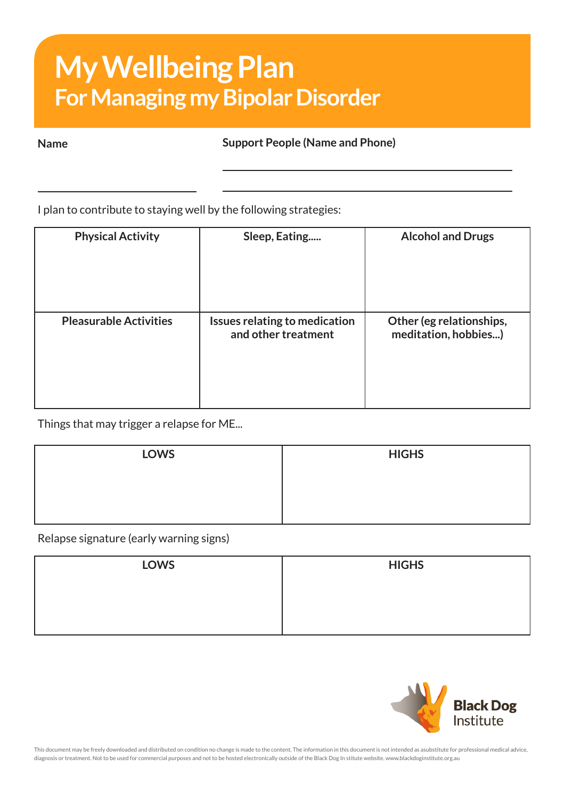## **My Wellbeing Plan For Managing my Bipolar Disorder**

**Name Support People (Name and Phone)**

I plan to contribute to staying well by the following strategies:

| <b>Physical Activity</b>      | Sleep, Eating                                        | <b>Alcohol and Drugs</b>                         |
|-------------------------------|------------------------------------------------------|--------------------------------------------------|
| <b>Pleasurable Activities</b> | Issues relating to medication<br>and other treatment | Other (eg relationships,<br>meditation, hobbies) |

Things that may trigger a relapse for ME...

| <b>LOWS</b> | <b>HIGHS</b> |
|-------------|--------------|
|             |              |
|             |              |
|             |              |

Relapse signature (early warning signs)

| <b>LOWS</b> | <b>HIGHS</b> |
|-------------|--------------|
|             |              |
|             |              |
|             |              |



This document may be freely downloaded and distributed on condition no change is made to the content. The information in this document is not intended as asubstitute for professional medical advice, diagnosis or treatment. Not to be used for commercial purposes and not to be hosted electronically outside of the Black Dog In stitute website. www.blackdoginstitute.org.au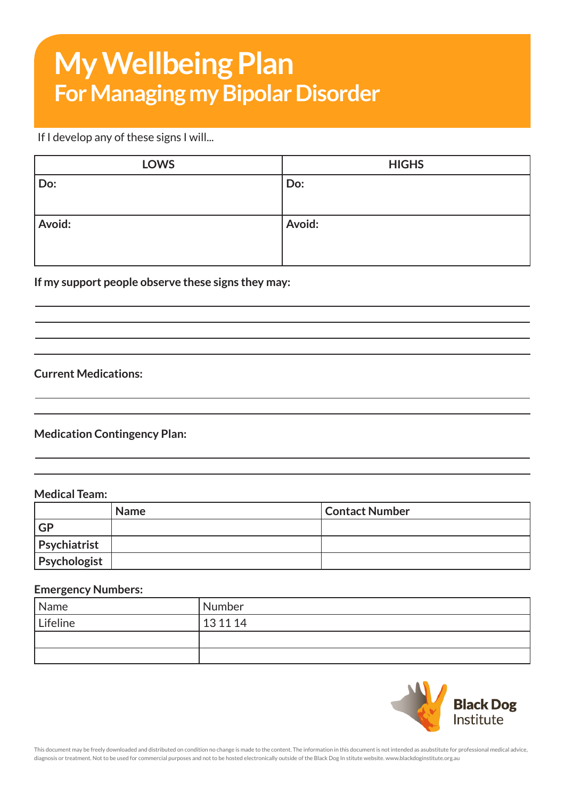# **My Wellbeing Plan For Managing my Bipolar Disorder**

## If I develop any of these signs I will...

| <b>LOWS</b> | <b>HIGHS</b> |
|-------------|--------------|
| Do:         | Do:          |
| Avoid:      | Avoid:       |

### **If my support people observe these signs they may:**

## **Current Medications:**

## **Medication Contingency Plan:**

## **Medical Team:**

|                     | <b>Name</b> | Contact Number |
|---------------------|-------------|----------------|
| GP                  |             |                |
| <b>Psychiatrist</b> |             |                |
| <b>Psychologist</b> |             |                |

#### **Emergency Numbers:**

| Name     | Number   |
|----------|----------|
| Lifeline | 13 11 14 |
|          |          |
|          |          |